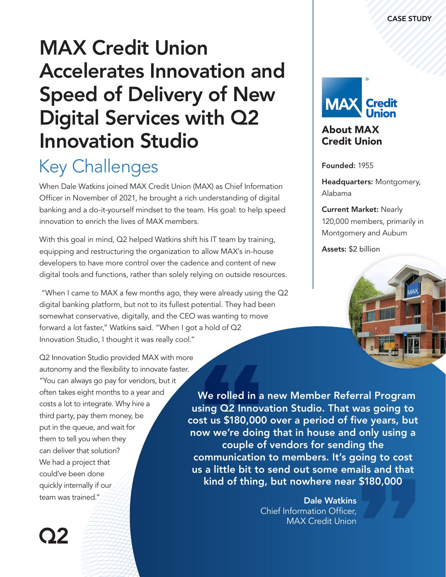# MAX Credit Union Accelerates Innovation and Speed of Delivery of New Digital Services with Q2 Innovation Studio

## Key Challenges

When Dale Watkins joined MAX Credit Union (MAX) as Chief Information Officer in November of 2021, he brought a rich understanding of digital banking and a do-it-yourself mindset to the team. His goal: to help speed innovation to enrich the lives of MAX members.

With this goal in mind, Q2 helped Watkins shift his IT team by training, equipping and restructuring the organization to allow MAX's in-house developers to have more control over the cadence and content of new digital tools and functions, rather than solely relying on outside resources.

 "When I came to MAX a few months ago, they were already using the Q2 digital banking platform, but not to its fullest potential. They had been somewhat conservative, digitally, and the CEO was wanting to move forward a lot faster," Watkins said. "When I got a hold of Q2 Innovation Studio, I thought it was really cool."

Q2 Innovation Studio provided MAX with more autonomy and the flexibility to innovate faster. "You can always go pay for vendors, but it often takes eight months to a year and costs a lot to integrate. Why hire a third party, pay them money, be put in the queue, and wait for them to tell you when they can deliver that solution? We had a project that could've been done quickly internally if our team was trained."

We rolled in a new Member Referral Program using Q2 Innovation Studio. That was going to cost us \$180,000 over a period of five years, but now we're doing that in house and only using a couple of vendors for sending the communication to members. It's going to cost us a little bit to send out some emails and that kind of thing, but nowhere near \$180,000

> Dale Watkins Chief Information Officer, MAX Credit Union



### About MAX Credit Union

Founded: 1955

Headquarters: Montgomery, Alabama

#### Current Market: Nearly

120,000 members, primarily in Montgomery and Auburn

Assets: \$2 billion



02